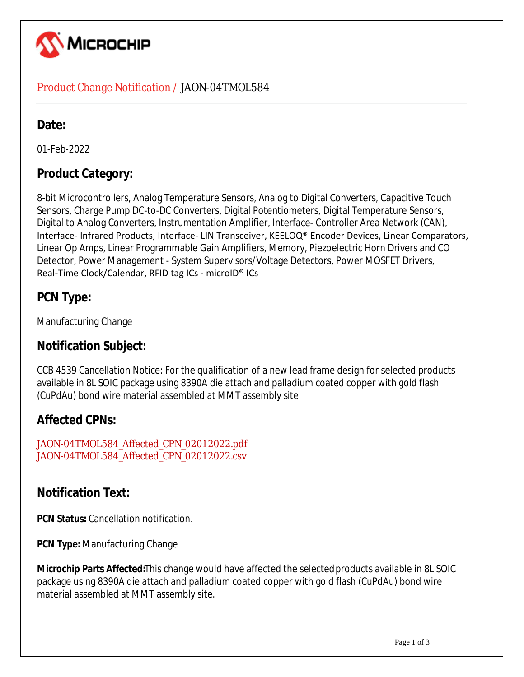

#### Product Change Notification / JAON-04TMOL584

## Date:

01-Feb-2022

## **Product Category:**

8-bit Microcontrollers, Analog Temperature Sensors, Analog to Digital Converters, Capacitive Touch Sensors, Charge Pump DC-to-DC Converters, Digital Potentiometers, Digital Temperature Sensors, Digital to Analog Converters, Instrumentation Amplifier, Interface- Controller Area Network (CAN), Interface- Infrared Products, Interface- LIN Transceiver, KEELOQ® Encoder Devices, Linear Comparators, Linear Op Amps, Linear Programmable Gain Amplifiers, Memory, Piezoelectric Horn Drivers and CO Detector, Power Management - System Supervisors/Voltage Detectors, Power MOSFET Drivers, Real-Time Clock/Calendar, RFID tag ICs - microID® ICs

# **PCN Type:**

Manufacturing Change

#### **Notification Subject:**

CCB 4539 Cancellation Notice: For the qualification of a new lead frame design for selected products available in 8L SOIC package using 8390A die attach and palladium coated copper with gold flash (CuPdAu) bond wire material assembled at MMT assembly site

# **Affected CPNs:**

JAON-04TMOL584\_Affected\_CPN\_02012022.pdf JAON-04TMOL584\_Affected\_CPN\_02012022.csv

#### **Notification Text:**

**PCN Status:** Cancellation notification.

**PCN Type:** Manufacturing Change

**Microchip Parts Affected:**This change would have affected the selected products available in 8L SOIC package using 8390A die attach and palladium coated copper with gold flash (CuPdAu) bond wire material assembled at MMT assembly site.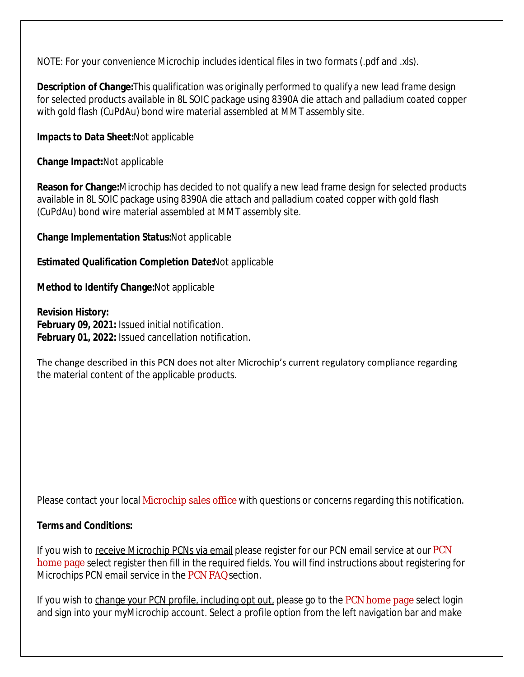NOTE: For your convenience Microchip includes identical files in two formats (.pdf and .xls).

**Description of Change:**This qualification was originally performed to qualify a new lead frame design for selected products available in 8L SOIC package using 8390A die attach and palladium coated copper with gold flash (CuPdAu) bond wire material assembled at MMT assembly site.

**Impacts to Data Sheet:**Not applicable

**Change Impact:**Not applicable

**Reason for Change:**Microchip has decided to not qualify a new lead frame design for selected products available in 8L SOIC package using 8390A die attach and palladium coated copper with gold flash (CuPdAu) bond wire material assembled at MMT assembly site.

**Change Implementation Status:**Not applicable

**Estimated Qualification Completion Date:**Not applicable

**Method to Identify Change:**Not applicable

**Revision History: February 09, 2021:** Issued initial notification. **February 01, 2022:** Issued cancellation notification.

The change described in this PCN does not alter Microchip's current regulatory compliance regarding the material content of the applicable products.

Please contact your local Microchip sales office with questions or concerns regarding this notification.

#### **Terms and Conditions:**

If you wish to receive Microchip PCNs via email please register for our PCN email service at our PCN home page select register then fill in the required fields. You will find instructions about registering for Microchips PCN email service in the PCN FAQ section.

If you wish to change your PCN profile, including opt out, please go to the PCN home page select login and sign into your myMicrochip account. Select a profile option from the left navigation bar and make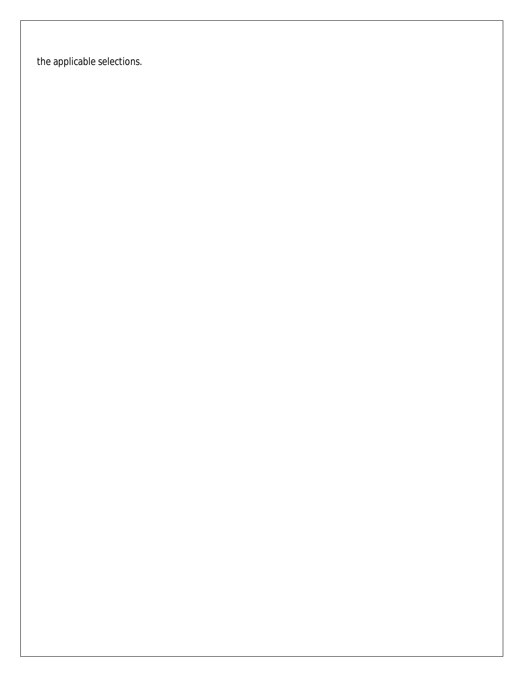the applicable selections.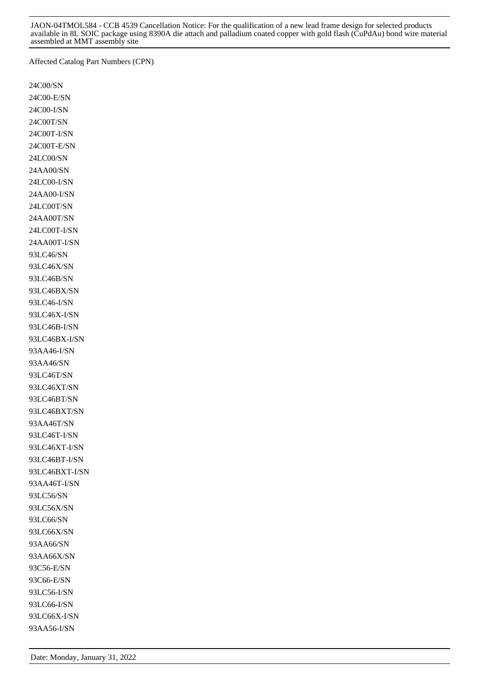Affected Catalog Part Numbers (CPN)

24C00/SN 24C00-E/SN 24C00-I/SN 24C00T/SN 24C00T-I/SN 24C00T-E/SN 24LC00/SN 24AA00/SN 24LC00-I/SN 24AA00-I/SN 24LC00T/SN 24AA00T/SN 24LC00T-I/SN 24AA00T-I/SN 93LC46/SN 93LC46X/SN 93LC46B/SN 93LC46BX/SN 93LC46-I/SN 93LC46X-I/SN 93LC46B-I/SN 93LC46BX-I/SN 93AA46-I/SN 93AA46/SN 93LC46T/SN 93LC46XT/SN 93LC46BT/SN 93LC46BXT/SN 93AA46T/SN 93LC46T-I/SN 93LC46XT-I/SN 93LC46BT-I/SN 93LC46BXT-I/SN 93AA46T-I/SN 93LC56/SN 93LC56X/SN 93LC66/SN 93LC66X/SN 93AA66/SN 93AA66X/SN 93C56-E/SN 93C66-E/SN 93LC56-I/SN 93LC66-I/SN 93LC66X-I/SN 93AA56-I/SN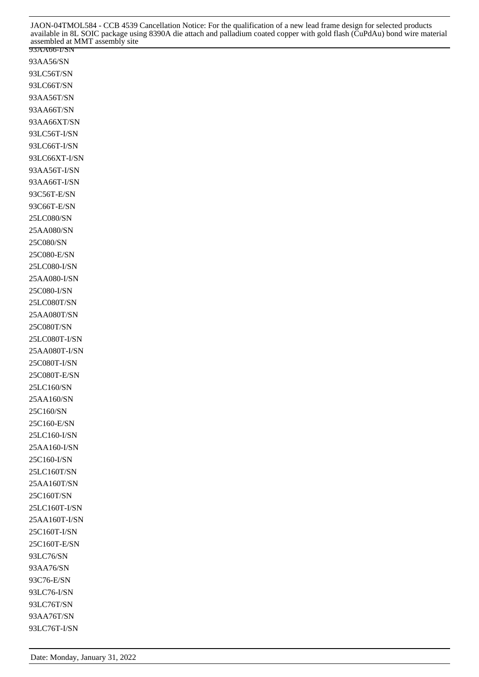JAON-04TMOL584 - CCB 4539 Cancellation Notice: For the qualification of a new lead frame design for selected products available in 8L SOIC package using 8390A die attach and palladium coated copper with gold flash (CuPdAu) bond wire material assembled at MMT assembly site

93AA66-I/SN 93AA56/SN 93LC56T/SN 93LC66T/SN 93AA56T/SN 93AA66T/SN 93AA66XT/SN 93LC56T-I/SN 93LC66T-I/SN 93LC66XT-I/SN 93AA56T-I/SN 93AA66T-I/SN 93C56T-E/SN 93C66T-E/SN 25LC080/SN 25AA080/SN 25C080/SN 25C080-E/SN 25LC080-I/SN 25AA080-I/SN 25C080-I/SN 25LC080T/SN 25AA080T/SN 25C080T/SN 25LC080T-I/SN 25AA080T-I/SN 25C080T-I/SN 25C080T-E/SN 25LC160/SN 25AA160/SN 25C160/SN 25C160-E/SN 25LC160-I/SN 25AA160-I/SN 25C160-I/SN 25LC160T/SN 25AA160T/SN 25C160T/SN 25LC160T-I/SN 25AA160T-I/SN 25C160T-I/SN 25C160T-E/SN 93LC76/SN 93AA76/SN 93C76-E/SN 93LC76-I/SN 93LC76T/SN 93AA76T/SN 93LC76T-I/SN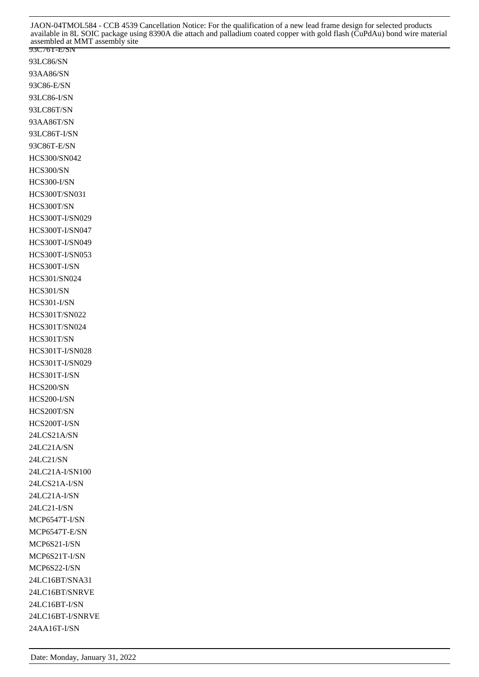93LC86/SN 93AA86/SN 93C86-E/SN 93LC86-I/SN 93LC86T/SN 93AA86T/SN 93LC86T-I/SN 93C86T-E/SN HCS300/SN042 HCS300/SN HCS300-I/SN HCS300T/SN031 HCS300T/SN HCS300T-I/SN029 HCS300T-I/SN047 HCS300T-I/SN049 HCS300T-I/SN053 HCS300T-I/SN HCS301/SN024 HCS301/SN HCS301-I/SN HCS301T/SN022 HCS301T/SN024 HCS301T/SN HCS301T-I/SN028 HCS301T-I/SN029 HCS301T-I/SN HCS200/SN HCS200-I/SN HCS200T/SN HCS200T-I/SN 24LCS21A/SN 24LC21A/SN 24LC21/SN 24LC21A-I/SN100 24LCS21A-I/SN 24LC21A-I/SN 24LC21-I/SN MCP6547T-I/SN MCP6547T-E/SN MCP6S21-I/SN MCP6S21T-I/SN MCP6S22-I/SN 24LC16BT/SNA31 24LC16BT/SNRVE 24LC16BT-I/SN 24LC16BT-I/SNRVE 24AA16T-I/SN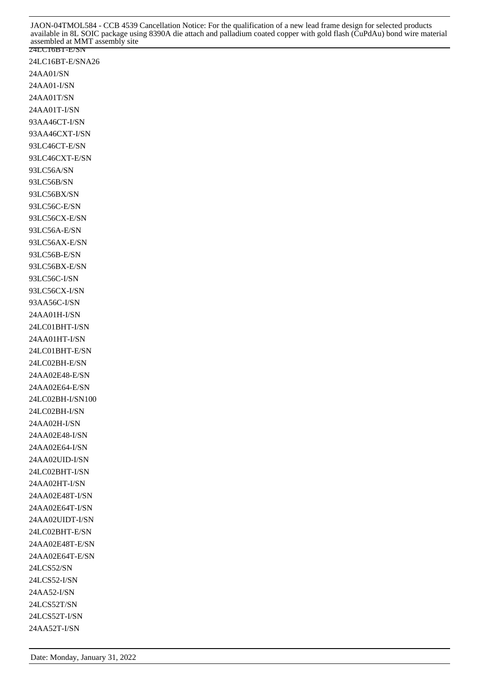24LC16BT-E/SNA26 24AA01/SN 24AA01-I/SN 24AA01T/SN 24AA01T-I/SN 93AA46CT-I/SN 93AA46CXT-I/SN 93LC46CT-E/SN 93LC46CXT-E/SN 93LC56A/SN 93LC56B/SN 93LC56BX/SN 93LC56C-E/SN 93LC56CX-E/SN 93LC56A-E/SN 93LC56AX-E/SN 93LC56B-E/SN 93LC56BX-E/SN 93LC56C-I/SN 93LC56CX-I/SN 93AA56C-I/SN 24AA01H-I/SN 24LC01BHT-I/SN 24AA01HT-I/SN 24LC01BHT-E/SN 24LC02BH-E/SN 24AA02E48-E/SN 24AA02E64-E/SN 24LC02BH-I/SN100 24LC02BH-I/SN 24AA02H-I/SN 24AA02E48-I/SN 24AA02E64-I/SN 24AA02UID-I/SN 24LC02BHT-I/SN 24AA02HT-I/SN 24AA02E48T-I/SN 24AA02E64T-I/SN 24AA02UIDT-I/SN 24LC02BHT-E/SN 24AA02E48T-E/SN 24AA02E64T-E/SN 24LCS52/SN 24LCS52-I/SN 24AA52-I/SN 24LCS52T/SN 24LCS52T-I/SN 24AA52T-I/SN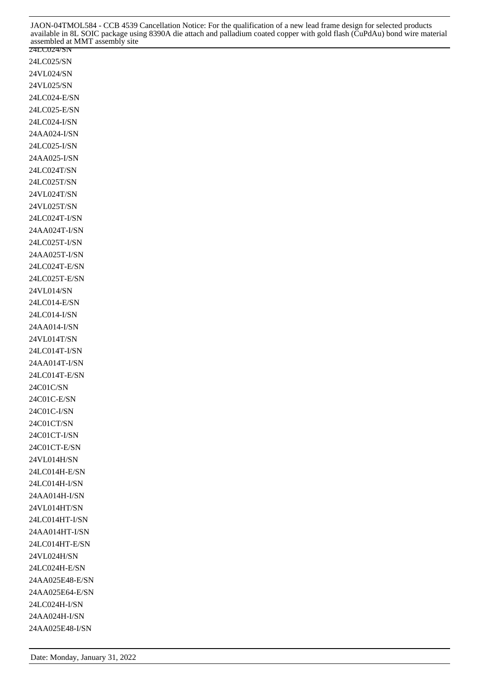24LC024/SN JAON-04TMOL584 - CCB 4539 Cancellation Notice: For the qualification of a new lead frame design for selected products available in 8L SOIC package using 8390A die attach and palladium coated copper with gold flash (CuPdAu) bond wire material assembled at MMT assembly site

| 24LC025/SN      |
|-----------------|
| 24VL024/SN      |
| 24VL025/SN      |
| 24LC024-E/SN    |
| 24LC025-E/SN    |
| 24LC024-I/SN    |
| 24AA024-I/SN    |
| 24LC025-I/SN    |
| 24AA025-I/SN    |
| 24LC024T/SN     |
|                 |
| 24LC025T/SN     |
| 24VL024T/SN     |
| 24VL025T/SN     |
| 24LC024T-I/SN   |
| 24AA024T-I/SN   |
| 24LC025T-I/SN   |
| 24AA025T-I/SN   |
| 24LC024T-E/SN   |
| 24LC025T-E/SN   |
| 24VL014/SN      |
| 24LC014-E/SN    |
| 24LC014-I/SN    |
| 24AA014-I/SN    |
| 24VL014T/SN     |
| 24LC014T-I/SN   |
| 24AA014T-I/SN   |
| 24LC014T-E/SN   |
| 24C01C/SN       |
| 24C01C-E/SN     |
| 24C01C-I/SN     |
|                 |
| 24C01CT/SN      |
| 24C01CT-I/SN    |
| 24C01CT-E/SN    |
| 24VL014H/SN     |
| 24LC014H-E/SN   |
| 24LC014H-I/SN   |
| 24AA014H-I/SN   |
| 24VL014HT/SN    |
| 24LC014HT-I/SN  |
| 24AA014HT-I/SN  |
| 24LC014HT-E/SN  |
| 24VL024H/SN     |
| 24LC024H-E/SN   |
| 24AA025E48-E/SN |
| 24AA025E64-E/SN |
| 24LC024H-I/SN   |
| 24AA024H-I/SN   |
| 24AA025E48-I/SN |
|                 |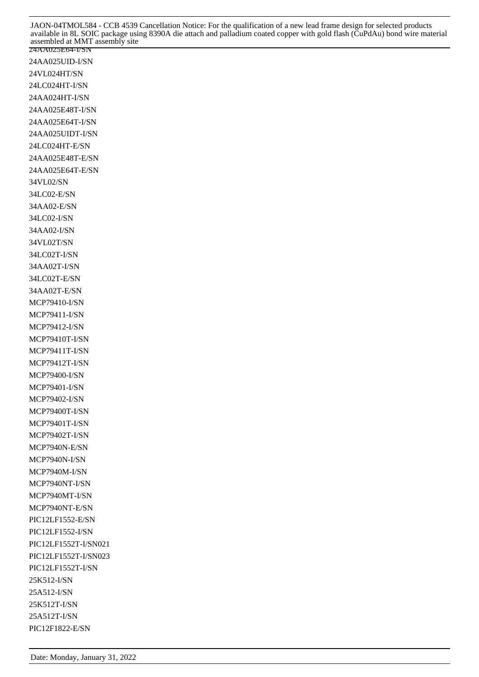24AA025UID-I/SN 24VL024HT/SN 24LC024HT-I/SN 24AA024HT-I/SN 24AA025E48T-I/SN 24AA025E64T-I/SN 24AA025UIDT-I/SN 24LC024HT-E/SN 24AA025E48T-E/SN 24AA025E64T-E/SN 34VL02/SN 34LC02-E/SN 34AA02-E/SN 34LC02-I/SN 34AA02-I/SN 34VL02T/SN 34LC02T-I/SN 34AA02T-I/SN 34LC02T-E/SN 34AA02T-E/SN MCP79410-I/SN MCP79411-I/SN MCP79412-I/SN MCP79410T-I/SN MCP79411T-I/SN MCP79412T-I/SN MCP79400-I/SN MCP79401-I/SN MCP79402-I/SN MCP79400T-I/SN MCP79401T-I/SN MCP79402T-I/SN MCP7940N-E/SN MCP7940N-I/SN MCP7940M-I/SN MCP7940NT-I/SN MCP7940MT-I/SN MCP7940NT-E/SN PIC12LF1552-E/SN PIC12LF1552-I/SN PIC12LF1552T-I/SN021 PIC12LF1552T-I/SN023 PIC12LF1552T-I/SN 25K512-I/SN 25A512-I/SN 25K512T-I/SN 25A512T-I/SN PIC12F1822-E/SN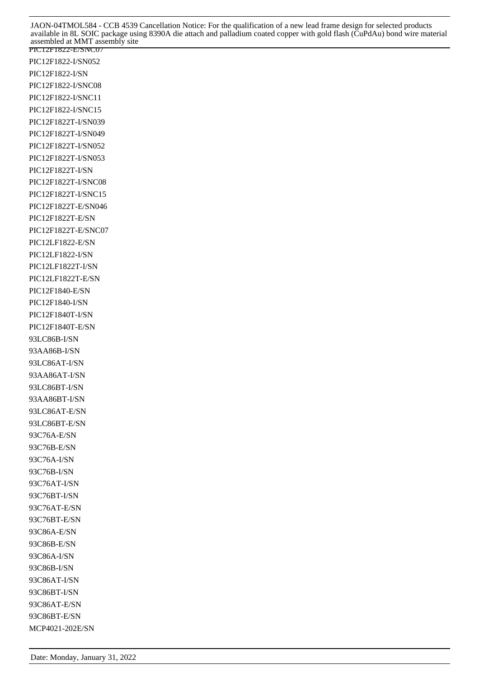PIC12F1822-E/SNC07 PIC12F1822-I/SN052 PIC12F1822-I/SN PIC12F1822-I/SNC08 PIC12F1822-I/SNC11 PIC12F1822-I/SNC15 PIC12F1822T-I/SN039 PIC12F1822T-I/SN049 PIC12F1822T-I/SN052 PIC12F1822T-I/SN053 PIC12F1822T-I/SN PIC12F1822T-I/SNC08 PIC12F1822T-I/SNC15 PIC12F1822T-E/SN046 PIC12F1822T-E/SN PIC12F1822T-E/SNC07 PIC12LF1822-E/SN PIC12LF1822-I/SN PIC12LF1822T-I/SN PIC12LF1822T-E/SN PIC12F1840-E/SN PIC12F1840-I/SN PIC12F1840T-I/SN PIC12F1840T-E/SN 93LC86B-I/SN 93AA86B-I/SN 93LC86AT-I/SN 93AA86AT-I/SN 93LC86BT-I/SN 93AA86BT-I/SN 93LC86AT-E/SN 93LC86BT-E/SN 93C76A-E/SN 93C76B-E/SN 93C76A-I/SN 93C76B-I/SN 93C76AT-I/SN 93C76BT-I/SN 93C76AT-E/SN 93C76BT-E/SN 93C86A-E/SN 93C86B-E/SN 93C86A-I/SN 93C86B-I/SN 93C86AT-I/SN 93C86BT-I/SN 93C86AT-E/SN 93C86BT-E/SN MCP4021-202E/SN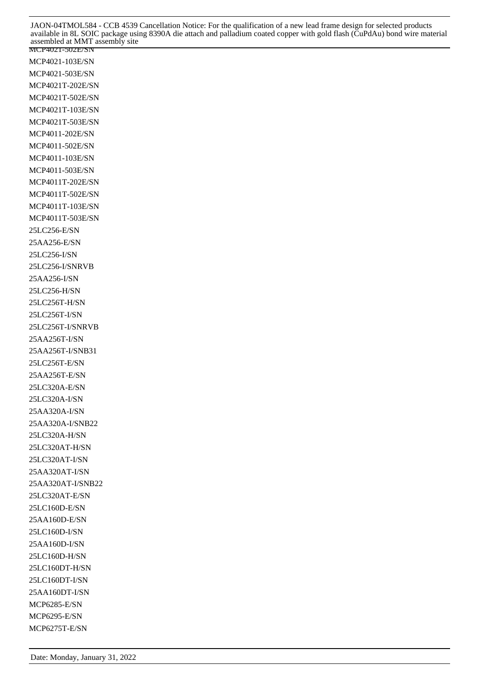MCP4021-502E/SN MCP4021-103E/SN MCP4021-503E/SN MCP4021T-202E/SN MCP4021T-502E/SN MCP4021T-103E/SN MCP4021T-503E/SN MCP4011-202E/SN MCP4011-502E/SN MCP4011-103E/SN MCP4011-503E/SN MCP4011T-202E/SN MCP4011T-502E/SN MCP4011T-103E/SN MCP4011T-503E/SN 25LC256-E/SN 25AA256-E/SN 25LC256-I/SN 25LC256-I/SNRVB 25AA256-I/SN 25LC256-H/SN 25LC256T-H/SN 25LC256T-I/SN 25LC256T-I/SNRVB 25AA256T-I/SN 25AA256T-I/SNB31 25LC256T-E/SN 25AA256T-E/SN 25LC320A-E/SN 25LC320A-I/SN 25AA320A-I/SN 25AA320A-I/SNB22 25LC320A-H/SN 25LC320AT-H/SN 25LC320AT-I/SN 25AA320AT-I/SN 25AA320AT-I/SNB22 25LC320AT-E/SN 25LC160D-E/SN 25AA160D-E/SN 25LC160D-I/SN 25AA160D-I/SN 25LC160D-H/SN 25LC160DT-H/SN 25LC160DT-I/SN 25AA160DT-I/SN MCP6285-E/SN MCP6295-E/SN MCP6275T-E/SN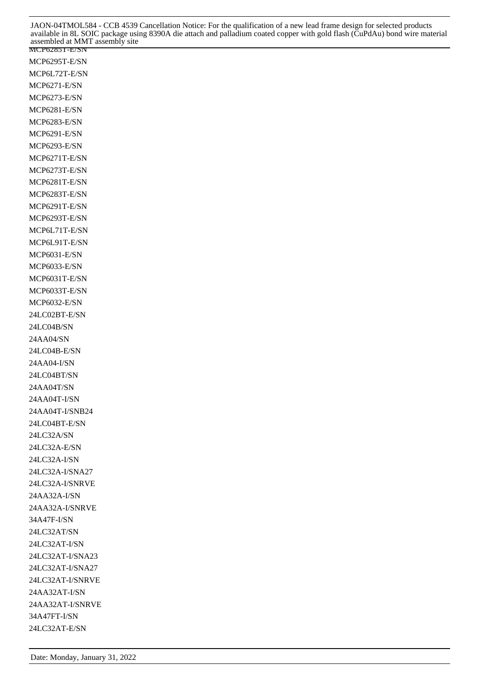MCP6295T-E/SN MCP6L72T-E/SN MCP6271-E/SN MCP6273-E/SN MCP6281-E/SN MCP6283-E/SN MCP6291-E/SN MCP6293-E/SN MCP6271T-E/SN MCP6273T-E/SN MCP6281T-E/SN MCP6283T-E/SN MCP6291T-E/SN MCP6293T-E/SN MCP6L71T-E/SN MCP6L91T-E/SN MCP6031-E/SN MCP6033-E/SN MCP6031T-E/SN MCP6033T-E/SN MCP6032-E/SN 24LC02BT-E/SN 24LC04B/SN 24AA04/SN 24LC04B-E/SN 24AA04-I/SN 24LC04BT/SN 24AA04T/SN 24AA04T-I/SN 24AA04T-I/SNB24 24LC04BT-E/SN 24LC32A/SN 24LC32A-E/SN 24LC32A-I/SN 24LC32A-I/SNA27 24LC32A-I/SNRVE 24AA32A-I/SN 24AA32A-I/SNRVE 34A47F-I/SN 24LC32AT/SN 24LC32AT-I/SN 24LC32AT-I/SNA23 24LC32AT-I/SNA27 24LC32AT-I/SNRVE 24AA32AT-I/SN 24AA32AT-I/SNRVE 34A47FT-I/SN 24LC32AT-E/SN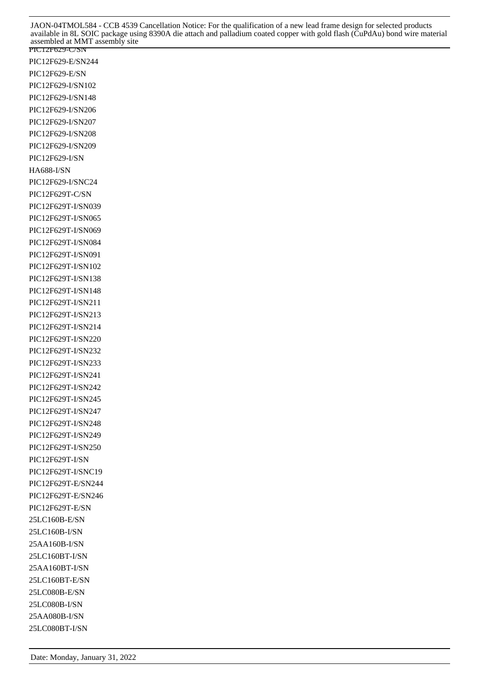PIC12F629-C/SN PIC12F629-E/SN244 PIC12F629-E/SN PIC12F629-I/SN102 PIC12F629-I/SN148 PIC12F629-I/SN206 PIC12F629-I/SN207 PIC12F629-I/SN208 PIC12F629-I/SN209 PIC12F629-I/SN HA688-I/SN PIC12F629-I/SNC24 PIC12F629T-C/SN PIC12F629T-I/SN039 PIC12F629T-I/SN065 PIC12F629T-I/SN069 PIC12F629T-I/SN084 PIC12F629T-I/SN091 PIC12F629T-I/SN102 PIC12F629T-I/SN138 PIC12F629T-I/SN148 PIC12F629T-I/SN211 PIC12F629T-I/SN213 PIC12F629T-I/SN214 PIC12F629T-I/SN220 PIC12F629T-I/SN232 PIC12F629T-I/SN233 PIC12F629T-I/SN241 PIC12F629T-I/SN242 PIC12F629T-I/SN245 PIC12F629T-I/SN247 PIC12F629T-I/SN248 PIC12F629T-I/SN249 PIC12F629T-I/SN250 PIC12F629T-I/SN PIC12F629T-I/SNC19 PIC12F629T-E/SN244 PIC12F629T-E/SN246 PIC12F629T-E/SN 25LC160B-E/SN 25LC160B-I/SN 25AA160B-I/SN 25LC160BT-I/SN 25AA160BT-I/SN 25LC160BT-E/SN 25LC080B-E/SN 25LC080B-I/SN 25AA080B-I/SN 25LC080BT-I/SN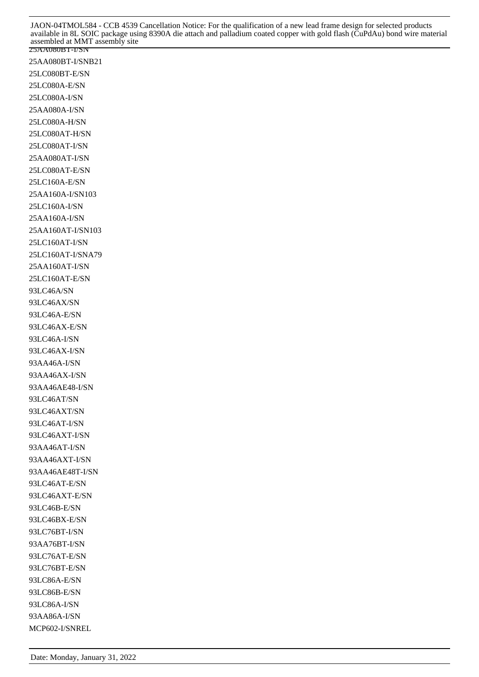25AA080BT-I/SNB21 25LC080BT-E/SN 25LC080A-E/SN 25LC080A-I/SN 25AA080A-I/SN 25LC080A-H/SN 25LC080AT-H/SN 25LC080AT-I/SN 25AA080AT-I/SN 25LC080AT-E/SN 25LC160A-E/SN 25AA160A-I/SN103 25LC160A-I/SN 25AA160A-I/SN 25AA160AT-I/SN103 25LC160AT-I/SN 25LC160AT-I/SNA79 25AA160AT-I/SN 25LC160AT-E/SN 93LC46A/SN 93LC46AX/SN 93LC46A-E/SN 93LC46AX-E/SN 93LC46A-I/SN 93LC46AX-I/SN 93AA46A-I/SN 93AA46AX-I/SN 93AA46AE48-I/SN 93LC46AT/SN 93LC46AXT/SN 93LC46AT-I/SN 93LC46AXT-I/SN 93AA46AT-I/SN 93AA46AXT-I/SN 93AA46AE48T-I/SN 93LC46AT-E/SN 93LC46AXT-E/SN 93LC46B-E/SN 93LC46BX-E/SN 93LC76BT-I/SN 93AA76BT-I/SN 93LC76AT-E/SN 93LC76BT-E/SN 93LC86A-E/SN 93LC86B-E/SN 93LC86A-I/SN 93AA86A-I/SN MCP602-I/SNREL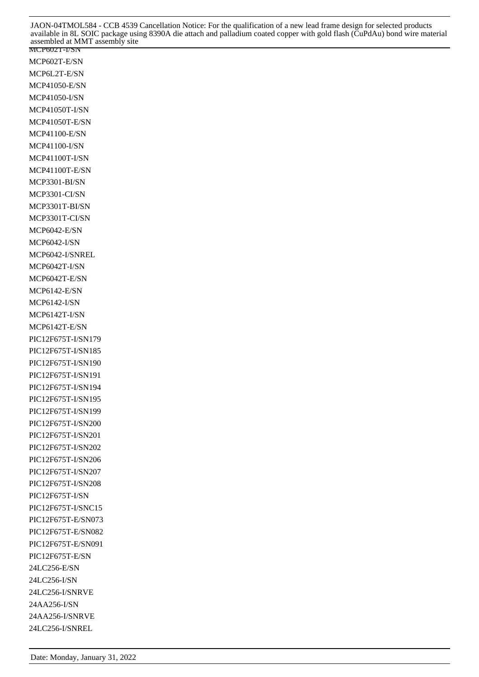MCP602T-E/SN MCP6L2T-E/SN MCP41050-E/SN MCP41050-I/SN MCP41050T-I/SN MCP41050T-E/SN MCP41100-E/SN MCP41100-I/SN MCP41100T-I/SN MCP41100T-E/SN MCP3301-BI/SN MCP3301-CI/SN MCP3301T-BI/SN MCP3301T-CI/SN MCP6042-E/SN MCP6042-I/SN MCP6042-I/SNREL MCP6042T-I/SN MCP6042T-E/SN MCP6142-E/SN MCP6142-I/SN MCP6142T-I/SN MCP6142T-E/SN PIC12F675T-I/SN179 PIC12F675T-I/SN185 PIC12F675T-I/SN190 PIC12F675T-I/SN191 PIC12F675T-I/SN194 PIC12F675T-I/SN195 PIC12F675T-I/SN199 PIC12F675T-I/SN200 PIC12F675T-I/SN201 PIC12F675T-I/SN202 PIC12F675T-I/SN206 PIC12F675T-I/SN207 PIC12F675T-I/SN208 PIC12F675T-I/SN PIC12F675T-I/SNC15 PIC12F675T-E/SN073 PIC12F675T-E/SN082 PIC12F675T-E/SN091 PIC12F675T-E/SN 24LC256-E/SN 24LC256-I/SN 24LC256-I/SNRVE 24AA256-I/SN 24AA256-I/SNRVE 24LC256-I/SNREL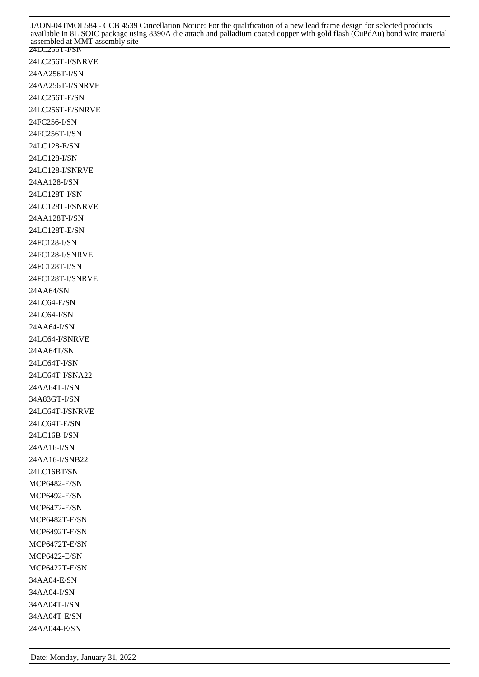24LC256T-I/SN 24LC256T-I/SNRVE 24AA256T-I/SN 24AA256T-I/SNRVE 24LC256T-E/SN 24LC256T-E/SNRVE 24FC256-I/SN 24FC256T-I/SN 24LC128-E/SN 24LC128-I/SN 24LC128-I/SNRVE 24AA128-I/SN 24LC128T-I/SN 24LC128T-I/SNRVE 24AA128T-I/SN 24LC128T-E/SN 24FC128-I/SN 24FC128-I/SNRVE 24FC128T-I/SN 24FC128T-I/SNRVE 24AA64/SN 24LC64-E/SN 24LC64-I/SN 24AA64-I/SN 24LC64-I/SNRVE 24AA64T/SN 24LC64T-I/SN 24LC64T-I/SNA22 24AA64T-I/SN 34A83GT-I/SN 24LC64T-I/SNRVE 24LC64T-E/SN 24LC16B-I/SN 24AA16-I/SN 24AA16-I/SNB22 24LC16BT/SN MCP6482-E/SN MCP6492-E/SN MCP6472-E/SN MCP6482T-E/SN MCP6492T-E/SN MCP6472T-E/SN MCP6422-E/SN MCP6422T-E/SN 34AA04-E/SN 34AA04-I/SN 34AA04T-I/SN 34AA04T-E/SN 24AA044-E/SN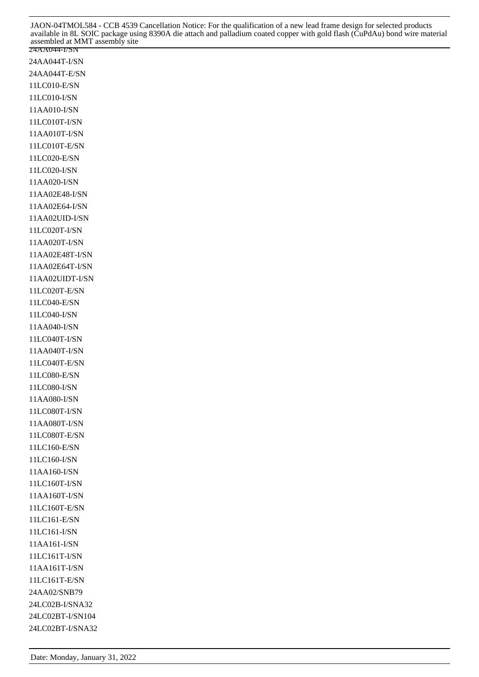24AA044T-I/SN 24AA044T-E/SN 11LC010-E/SN 11LC010-I/SN 11AA010-I/SN 11LC010T-I/SN 11AA010T-I/SN 11LC010T-E/SN 11LC020-E/SN 11LC020-I/SN 11AA020-I/SN 11AA02E48-I/SN 11AA02E64-I/SN 11AA02UID-I/SN 11LC020T-I/SN 11AA020T-I/SN 11AA02E48T-I/SN 11AA02E64T-I/SN 11AA02UIDT-I/SN 11LC020T-E/SN 11LC040-E/SN 11LC040-I/SN 11AA040-I/SN 11LC040T-I/SN 11AA040T-I/SN 11LC040T-E/SN 11LC080-E/SN 11LC080-I/SN 11AA080-I/SN 11LC080T-I/SN 11AA080T-I/SN 11LC080T-E/SN 11LC160-E/SN 11LC160-I/SN 11AA160-I/SN 11LC160T-I/SN 11AA160T-I/SN 11LC160T-E/SN 11LC161-E/SN 11LC161-I/SN 11AA161-I/SN 11LC161T-I/SN 11AA161T-I/SN 11LC161T-E/SN 24AA02/SNB79 24LC02B-I/SNA32 24LC02BT-I/SN104 24LC02BT-I/SNA32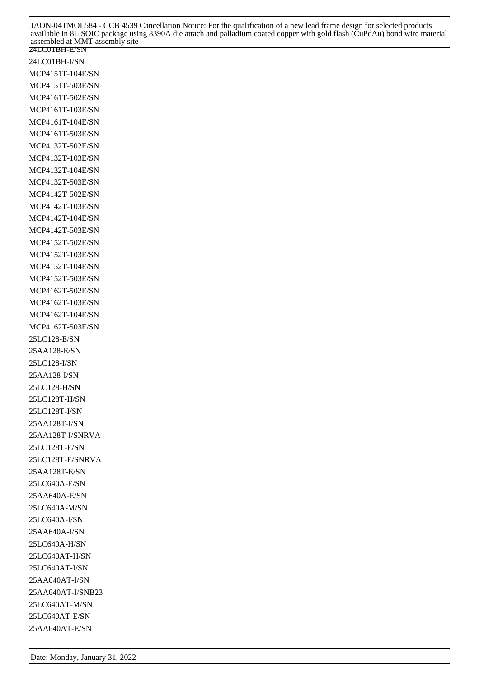24LC01BH-I/SN MCP4151T-104E/SN MCP4151T-503E/SN MCP4161T-502E/SN MCP4161T-103E/SN MCP4161T-104E/SN MCP4161T-503E/SN MCP4132T-502E/SN MCP4132T-103E/SN MCP4132T-104E/SN MCP4132T-503E/SN MCP4142T-502E/SN MCP4142T-103E/SN MCP4142T-104E/SN MCP4142T-503E/SN MCP4152T-502E/SN MCP4152T-103E/SN MCP4152T-104E/SN MCP4152T-503E/SN MCP4162T-502E/SN MCP4162T-103E/SN MCP4162T-104E/SN MCP4162T-503E/SN 25LC128-E/SN 25AA128-E/SN 25LC128-I/SN 25AA128-I/SN 25LC128-H/SN 25LC128T-H/SN 25LC128T-I/SN 25AA128T-I/SN 25AA128T-I/SNRVA 25LC128T-E/SN 25LC128T-E/SNRVA 25AA128T-E/SN 25LC640A-E/SN 25AA640A-E/SN 25LC640A-M/SN 25LC640A-I/SN 25AA640A-I/SN 25LC640A-H/SN 25LC640AT-H/SN 25LC640AT-I/SN 25AA640AT-I/SN 25AA640AT-I/SNB23 25LC640AT-M/SN 25LC640AT-E/SN 25AA640AT-E/SN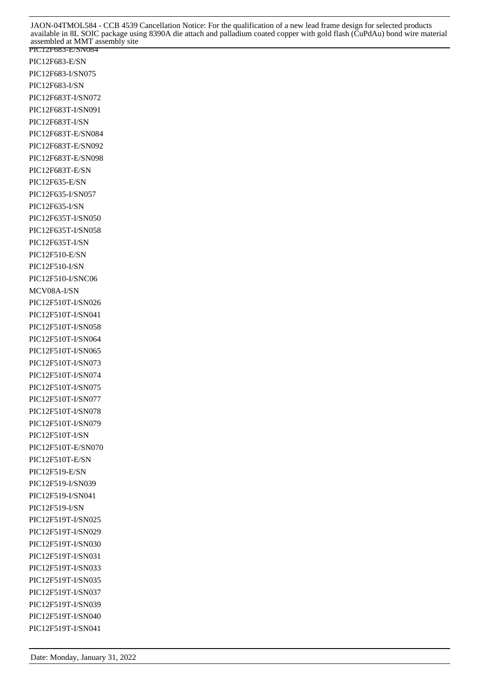PIC12F683-E/SN084 PIC12F683-E/SN PIC12F683-I/SN075 PIC12F683-I/SN PIC12F683T-I/SN072 PIC12F683T-I/SN091 PIC12F683T-I/SN PIC12F683T-E/SN084 PIC12F683T-E/SN092 PIC12F683T-E/SN098 PIC12F683T-E/SN PIC12F635-E/SN PIC12F635-I/SN057 PIC12F635-I/SN PIC12F635T-I/SN050 PIC12F635T-I/SN058 PIC12F635T-I/SN PIC12F510-E/SN PIC12F510-I/SN PIC12F510-I/SNC06 MCV08A-I/SN PIC12F510T-I/SN026 PIC12F510T-I/SN041 PIC12F510T-I/SN058 PIC12F510T-I/SN064 PIC12F510T-I/SN065 PIC12F510T-I/SN073 PIC12F510T-I/SN074 PIC12F510T-I/SN075 PIC12F510T-I/SN077 PIC12F510T-I/SN078 PIC12F510T-I/SN079 PIC12F510T-I/SN PIC12F510T-E/SN070 PIC12F510T-E/SN PIC12F519-E/SN PIC12F519-I/SN039 PIC12F519-I/SN041 PIC12F519-I/SN PIC12F519T-I/SN025 PIC12F519T-I/SN029 PIC12F519T-I/SN030 PIC12F519T-I/SN031 PIC12F519T-I/SN033 PIC12F519T-I/SN035 PIC12F519T-I/SN037 PIC12F519T-I/SN039 PIC12F519T-I/SN040 PIC12F519T-I/SN041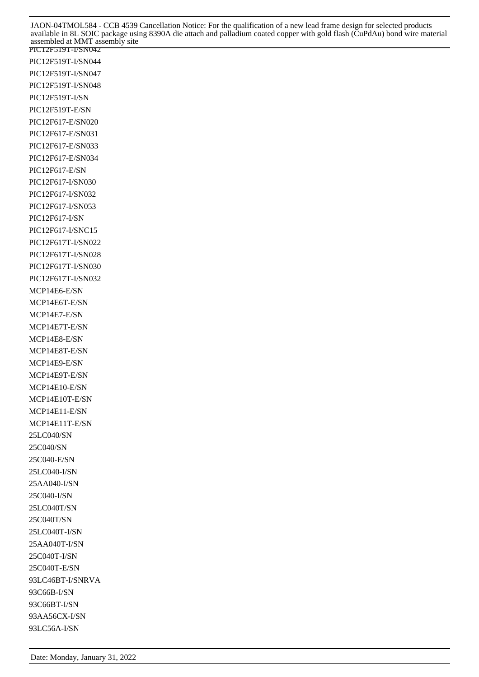PIC12F519T-I/SN042 PIC12F519T-I/SN044 PIC12F519T-I/SN047 PIC12F519T-I/SN048 PIC12F519T-I/SN PIC12F519T-E/SN PIC12F617-E/SN020 PIC12F617-E/SN031 PIC12F617-E/SN033 PIC12F617-E/SN034 PIC12F617-E/SN PIC12F617-I/SN030 PIC12F617-I/SN032 PIC12F617-I/SN053 PIC12F617-I/SN PIC12F617-I/SNC15 PIC12F617T-I/SN022 PIC12F617T-I/SN028 PIC12F617T-I/SN030 PIC12F617T-I/SN032 MCP14E6-E/SN MCP14E6T-E/SN MCP14E7-E/SN MCP14E7T-E/SN MCP14E8-E/SN MCP14E8T-E/SN MCP14E9-E/SN MCP14E9T-E/SN MCP14E10-E/SN MCP14E10T-E/SN MCP14E11-E/SN MCP14E11T-E/SN 25LC040/SN 25C040/SN 25C040-E/SN 25LC040-I/SN 25AA040-I/SN 25C040-I/SN 25LC040T/SN 25C040T/SN 25LC040T-I/SN 25AA040T-I/SN 25C040T-I/SN 25C040T-E/SN 93LC46BT-I/SNRVA 93C66B-I/SN 93C66BT-I/SN 93AA56CX-I/SN 93LC56A-I/SN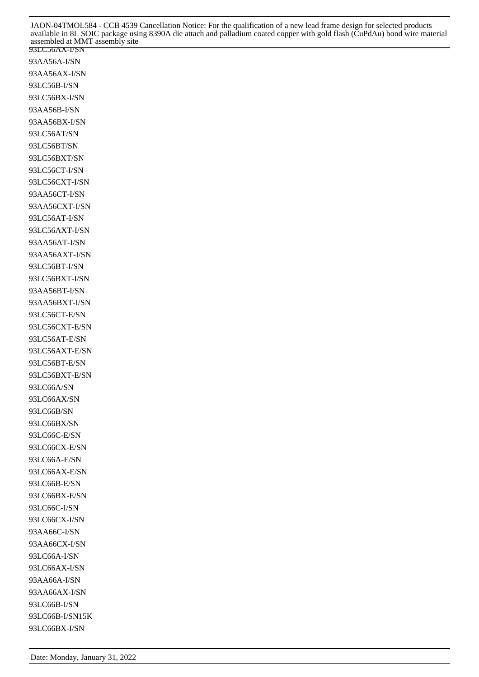93LC56AX-I/SN 93AA56A-I/SN 93AA56AX-I/SN 93LC56B-I/SN 93LC56BX-I/SN 93AA56B-I/SN 93AA56BX-I/SN 93LC56AT/SN 93LC56BT/SN 93LC56BXT/SN 93LC56CT-I/SN 93LC56CXT-I/SN 93AA56CT-I/SN 93AA56CXT-I/SN 93LC56AT-I/SN 93LC56AXT-I/SN 93AA56AT-I/SN 93AA56AXT-I/SN 93LC56BT-I/SN 93LC56BXT-I/SN 93AA56BT-I/SN 93AA56BXT-I/SN 93LC56CT-E/SN 93LC56CXT-E/SN 93LC56AT-E/SN 93LC56AXT-E/SN 93LC56BT-E/SN 93LC56BXT-E/SN 93LC66A/SN 93LC66AX/SN 93LC66B/SN 93LC66BX/SN 93LC66C-E/SN 93LC66CX-E/SN 93LC66A-E/SN 93LC66AX-E/SN 93LC66B-E/SN 93LC66BX-E/SN 93LC66C-I/SN 93LC66CX-I/SN 93AA66C-I/SN 93AA66CX-I/SN 93LC66A-I/SN 93LC66AX-I/SN 93AA66A-I/SN 93AA66AX-I/SN 93LC66B-I/SN 93LC66B-I/SN15K 93LC66BX-I/SN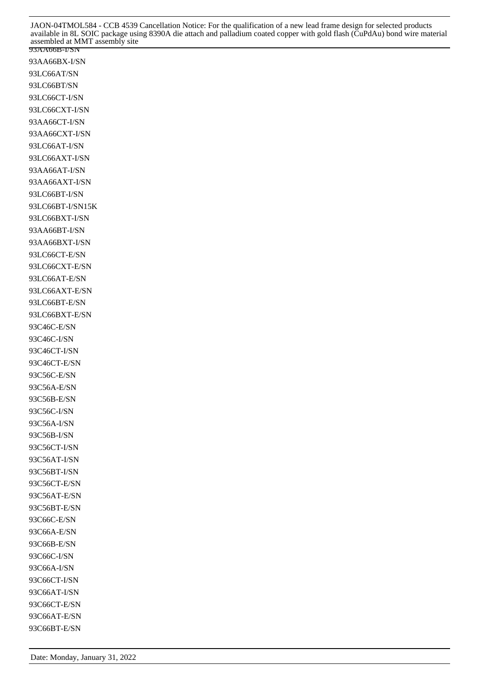93AA66B-I/SN 93AA66BX-I/SN 93LC66AT/SN 93LC66BT/SN 93LC66CT-I/SN 93LC66CXT-I/SN 93AA66CT-I/SN 93AA66CXT-I/SN 93LC66AT-I/SN 93LC66AXT-I/SN 93AA66AT-I/SN 93AA66AXT-I/SN 93LC66BT-I/SN 93LC66BT-I/SN15K 93LC66BXT-I/SN 93AA66BT-I/SN 93AA66BXT-I/SN 93LC66CT-E/SN 93LC66CXT-E/SN 93LC66AT-E/SN 93LC66AXT-E/SN 93LC66BT-E/SN 93LC66BXT-E/SN 93C46C-E/SN 93C46C-I/SN 93C46CT-I/SN 93C46CT-E/SN 93C56C-E/SN 93C56A-E/SN 93C56B-E/SN 93C56C-I/SN 93C56A-I/SN 93C56B-I/SN 93C56CT-I/SN 93C56AT-I/SN 93C56BT-I/SN 93C56CT-E/SN 93C56AT-E/SN 93C56BT-E/SN 93C66C-E/SN 93C66A-E/SN 93C66B-E/SN 93C66C-I/SN 93C66A-I/SN 93C66CT-I/SN 93C66AT-I/SN 93C66CT-E/SN 93C66AT-E/SN 93C66BT-E/SN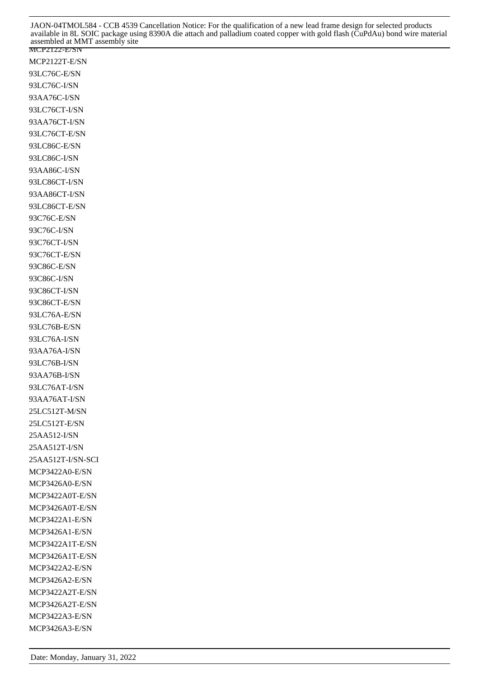MCP2122-E/SN MCP2122T-E/SN 93LC76C-E/SN 93LC76C-I/SN 93AA76C-I/SN 93LC76CT-I/SN 93AA76CT-I/SN 93LC76CT-E/SN 93LC86C-E/SN 93LC86C-I/SN 93AA86C-I/SN 93LC86CT-I/SN 93AA86CT-I/SN 93LC86CT-E/SN 93C76C-E/SN 93C76C-I/SN 93C76CT-I/SN 93C76CT-E/SN 93C86C-E/SN 93C86C-I/SN 93C86CT-I/SN 93C86CT-E/SN 93LC76A-E/SN 93LC76B-E/SN 93LC76A-I/SN 93AA76A-I/SN 93LC76B-I/SN 93AA76B-I/SN 93LC76AT-I/SN 93AA76AT-I/SN 25LC512T-M/SN 25LC512T-E/SN 25AA512-I/SN 25AA512T-I/SN 25AA512T-I/SN-SCI MCP3422A0-E/SN MCP3426A0-E/SN MCP3422A0T-E/SN MCP3426A0T-E/SN MCP3422A1-E/SN MCP3426A1-E/SN MCP3422A1T-E/SN MCP3426A1T-E/SN MCP3422A2-E/SN MCP3426A2-E/SN MCP3422A2T-E/SN MCP3426A2T-E/SN MCP3422A3-E/SN MCP3426A3-E/SN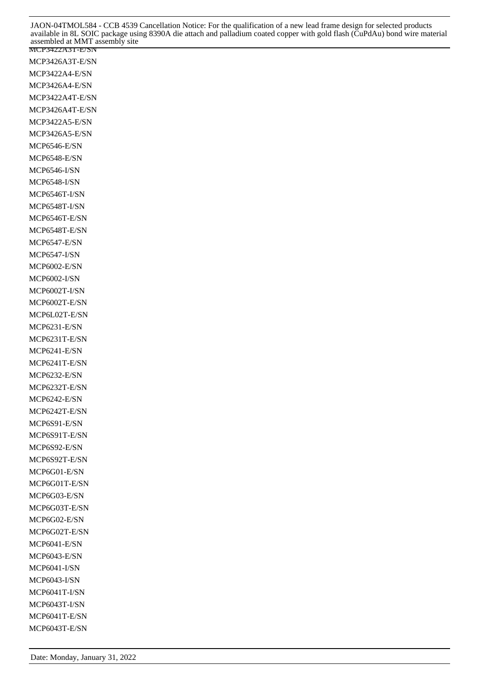MCP3422A3T-E/SN MCP3426A3T-E/SN MCP3422A4-E/SN MCP3426A4-E/SN MCP3422A4T-E/SN MCP3426A4T-E/SN MCP3422A5-E/SN MCP3426A5-E/SN MCP6546-E/SN MCP6548-E/SN MCP6546-I/SN MCP6548-I/SN MCP6546T-I/SN MCP6548T-I/SN MCP6546T-E/SN MCP6548T-E/SN MCP6547-E/SN MCP6547-I/SN MCP6002-E/SN MCP6002-I/SN MCP6002T-I/SN MCP6002T-E/SN MCP6L02T-E/SN MCP6231-E/SN MCP6231T-E/SN MCP6241-E/SN MCP6241T-E/SN MCP6232-E/SN MCP6232T-E/SN MCP6242-E/SN MCP6242T-E/SN MCP6S91-E/SN MCP6S91T-E/SN MCP6S92-E/SN MCP6S92T-E/SN MCP6G01-E/SN MCP6G01T-E/SN MCP6G03-E/SN MCP6G03T-E/SN MCP6G02-E/SN MCP6G02T-E/SN MCP6041-E/SN MCP6043-E/SN MCP6041-I/SN MCP6043-I/SN MCP6041T-I/SN MCP6043T-I/SN MCP6041T-E/SN MCP6043T-E/SN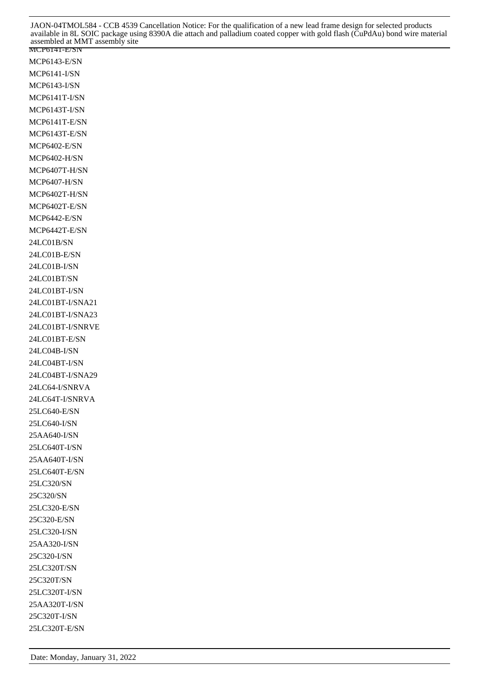MCP6141-E/SN MCP6143-E/SN MCP6141-I/SN MCP6143-I/SN MCP6141T-I/SN MCP6143T-I/SN MCP6141T-E/SN MCP6143T-E/SN MCP6402-E/SN MCP6402-H/SN MCP6407T-H/SN MCP6407-H/SN MCP6402T-H/SN MCP6402T-E/SN MCP6442-E/SN MCP6442T-E/SN 24LC01B/SN 24LC01B-E/SN 24LC01B-I/SN 24LC01BT/SN 24LC01BT-I/SN 24LC01BT-I/SNA21 24LC01BT-I/SNA23 24LC01BT-I/SNRVE 24LC01BT-E/SN 24LC04B-I/SN 24LC04BT-I/SN 24LC04BT-I/SNA29 24LC64-I/SNRVA 24LC64T-I/SNRVA 25LC640-E/SN 25LC640-I/SN 25AA640-I/SN 25LC640T-I/SN 25AA640T-I/SN 25LC640T-E/SN 25LC320/SN 25C320/SN 25LC320-E/SN 25C320-E/SN 25LC320-I/SN 25AA320-I/SN 25C320-I/SN 25LC320T/SN 25C320T/SN 25LC320T-I/SN 25AA320T-I/SN 25C320T-I/SN 25LC320T-E/SN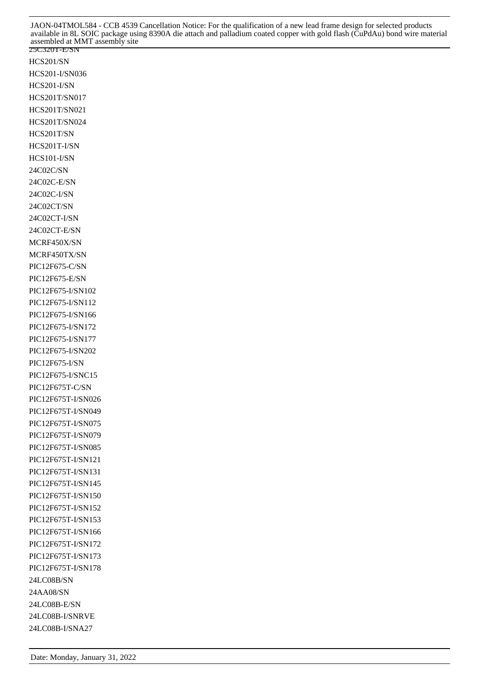25C320T-E/SN HCS201/SN HCS201-I/SN036 HCS201-I/SN HCS201T/SN017 HCS201T/SN021 HCS201T/SN024 HCS201T/SN HCS201T-I/SN HCS101-I/SN 24C02C/SN 24C02C-E/SN 24C02C-I/SN 24C02CT/SN 24C02CT-I/SN 24C02CT-E/SN MCRF450X/SN MCRF450TX/SN PIC12F675-C/SN PIC12F675-E/SN PIC12F675-I/SN102 PIC12F675-I/SN112 PIC12F675-I/SN166 PIC12F675-I/SN172 PIC12F675-I/SN177 PIC12F675-I/SN202 PIC12F675-I/SN PIC12F675-I/SNC15 PIC12F675T-C/SN PIC12F675T-I/SN026 PIC12F675T-I/SN049 PIC12F675T-I/SN075 PIC12F675T-I/SN079 PIC12F675T-I/SN085 PIC12F675T-I/SN121 PIC12F675T-I/SN131 PIC12F675T-I/SN145 PIC12F675T-I/SN150 PIC12F675T-I/SN152 PIC12F675T-I/SN153 PIC12F675T-I/SN166 PIC12F675T-I/SN172 PIC12F675T-I/SN173 PIC12F675T-I/SN178 24LC08B/SN 24AA08/SN 24LC08B-E/SN 24LC08B-I/SNRVE 24LC08B-I/SNA27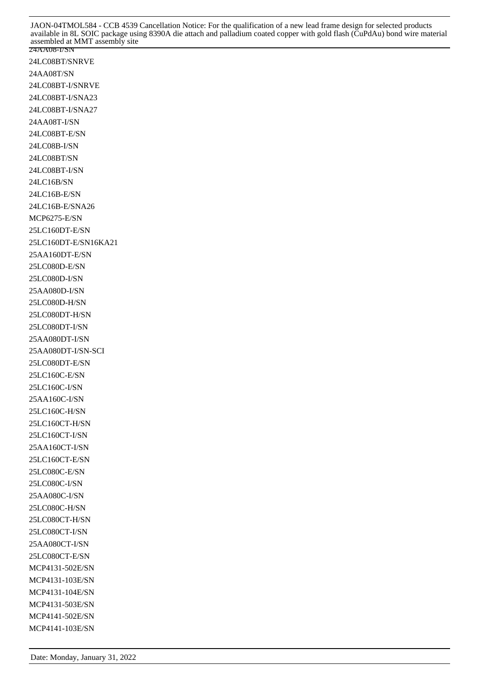24LC08BT/SNRVE 24AA08T/SN 24LC08BT-I/SNRVE 24LC08BT-I/SNA23 24LC08BT-I/SNA27 24AA08T-I/SN 24LC08BT-E/SN 24LC08B-I/SN 24LC08BT/SN 24LC08BT-I/SN 24LC16B/SN 24LC16B-E/SN 24LC16B-E/SNA26 MCP6275-E/SN 25LC160DT-E/SN 25LC160DT-E/SN16KA21 25AA160DT-E/SN 25LC080D-E/SN 25LC080D-I/SN 25AA080D-I/SN 25LC080D-H/SN 25LC080DT-H/SN 25LC080DT-I/SN 25AA080DT-I/SN 25AA080DT-I/SN-SCI 25LC080DT-E/SN 25LC160C-E/SN 25LC160C-I/SN 25AA160C-I/SN 25LC160C-H/SN 25LC160CT-H/SN 25LC160CT-I/SN 25AA160CT-I/SN 25LC160CT-E/SN 25LC080C-E/SN 25LC080C-I/SN 25AA080C-I/SN 25LC080C-H/SN 25LC080CT-H/SN 25LC080CT-I/SN 25AA080CT-I/SN 25LC080CT-E/SN MCP4131-502E/SN MCP4131-103E/SN MCP4131-104E/SN MCP4131-503E/SN MCP4141-502E/SN MCP4141-103E/SN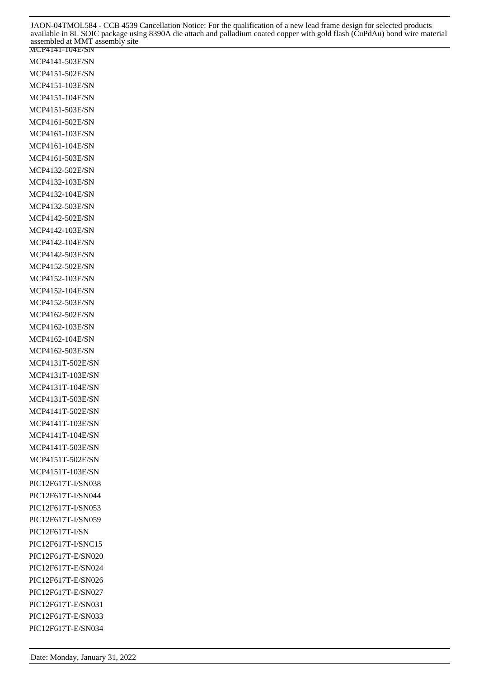MCP4141-104E/SN MCP4141-503E/SN MCP4151-502E/SN MCP4151-103E/SN MCP4151-104E/SN MCP4151-503E/SN MCP4161-502E/SN MCP4161-103E/SN MCP4161-104E/SN MCP4161-503E/SN MCP4132-502E/SN MCP4132-103E/SN MCP4132-104E/SN MCP4132-503E/SN MCP4142-502E/SN MCP4142-103E/SN MCP4142-104E/SN MCP4142-503E/SN MCP4152-502E/SN MCP4152-103E/SN MCP4152-104E/SN MCP4152-503E/SN MCP4162-502E/SN MCP4162-103E/SN MCP4162-104E/SN MCP4162-503E/SN MCP4131T-502E/SN MCP4131T-103E/SN MCP4131T-104E/SN MCP4131T-503E/SN MCP4141T-502E/SN MCP4141T-103E/SN MCP4141T-104E/SN MCP4141T-503E/SN MCP4151T-502E/SN MCP4151T-103E/SN PIC12F617T-I/SN038 PIC12F617T-I/SN044 PIC12F617T-I/SN053 PIC12F617T-I/SN059 PIC12F617T-I/SN PIC12F617T-I/SNC15 PIC12F617T-E/SN020 PIC12F617T-E/SN024 PIC12F617T-E/SN026 PIC12F617T-E/SN027 PIC12F617T-E/SN031 PIC12F617T-E/SN033 PIC12F617T-E/SN034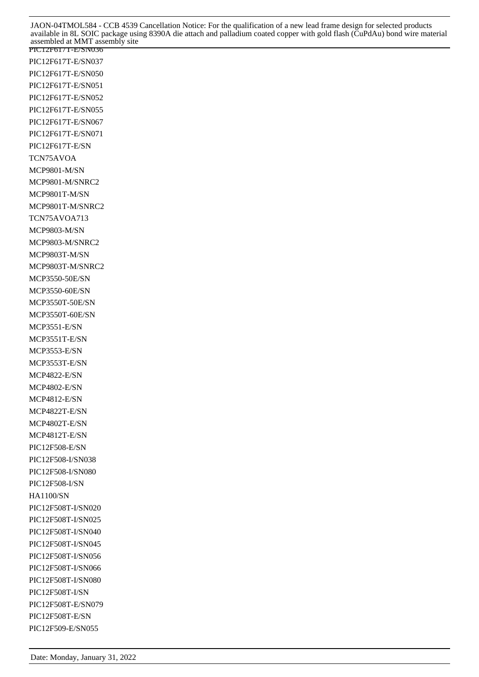PIC12F617T-E/SN036 PIC12F617T-E/SN037 PIC12F617T-E/SN050 PIC12F617T-E/SN051 PIC12F617T-E/SN052 PIC12F617T-E/SN055 PIC12F617T-E/SN067 PIC12F617T-E/SN071 PIC12F617T-E/SN TCN75AVOA MCP9801-M/SN MCP9801-M/SNRC2 MCP9801T-M/SN MCP9801T-M/SNRC2 TCN75AVOA713 MCP9803-M/SN MCP9803-M/SNRC2 MCP9803T-M/SN MCP9803T-M/SNRC2 MCP3550-50E/SN MCP3550-60E/SN MCP3550T-50E/SN MCP3550T-60E/SN MCP3551-E/SN MCP3551T-E/SN MCP3553-E/SN MCP3553T-E/SN MCP4822-E/SN MCP4802-E/SN MCP4812-E/SN MCP4822T-E/SN MCP4802T-E/SN MCP4812T-E/SN PIC12F508-E/SN PIC12F508-I/SN038 PIC12F508-I/SN080 PIC12F508-I/SN HA1100/SN PIC12F508T-I/SN020 PIC12F508T-I/SN025 PIC12F508T-I/SN040 PIC12F508T-I/SN045 PIC12F508T-I/SN056 PIC12F508T-I/SN066 PIC12F508T-I/SN080 PIC12F508T-I/SN PIC12F508T-E/SN079 PIC12F508T-E/SN PIC12F509-E/SN055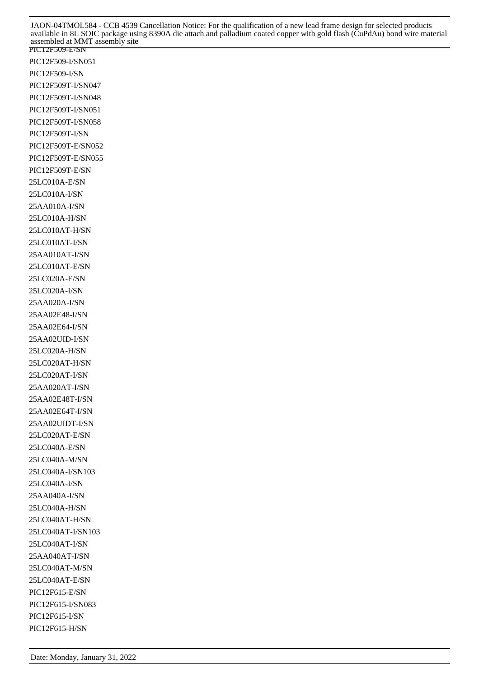PIC12F509-E/SN PIC12F509-I/SN051 PIC12F509-I/SN PIC12F509T-I/SN047 PIC12F509T-I/SN048 PIC12F509T-I/SN051 PIC12F509T-I/SN058 PIC12F509T-I/SN PIC12F509T-E/SN052 PIC12F509T-E/SN055 PIC12F509T-E/SN 25LC010A-E/SN 25LC010A-I/SN 25AA010A-I/SN 25LC010A-H/SN 25LC010AT-H/SN 25LC010AT-I/SN 25AA010AT-I/SN 25LC010AT-E/SN 25LC020A-E/SN 25LC020A-I/SN 25AA020A-I/SN 25AA02E48-I/SN 25AA02E64-I/SN 25AA02UID-I/SN 25LC020A-H/SN 25LC020AT-H/SN 25LC020AT-I/SN 25AA020AT-I/SN 25AA02E48T-I/SN 25AA02E64T-I/SN 25AA02UIDT-I/SN 25LC020AT-E/SN 25LC040A-E/SN 25LC040A-M/SN 25LC040A-I/SN103 25LC040A-I/SN 25AA040A-I/SN 25LC040A-H/SN 25LC040AT-H/SN 25LC040AT-I/SN103 25LC040AT-I/SN 25AA040AT-I/SN 25LC040AT-M/SN 25LC040AT-E/SN PIC12F615-E/SN PIC12F615-I/SN083 PIC12F615-I/SN PIC12F615-H/SN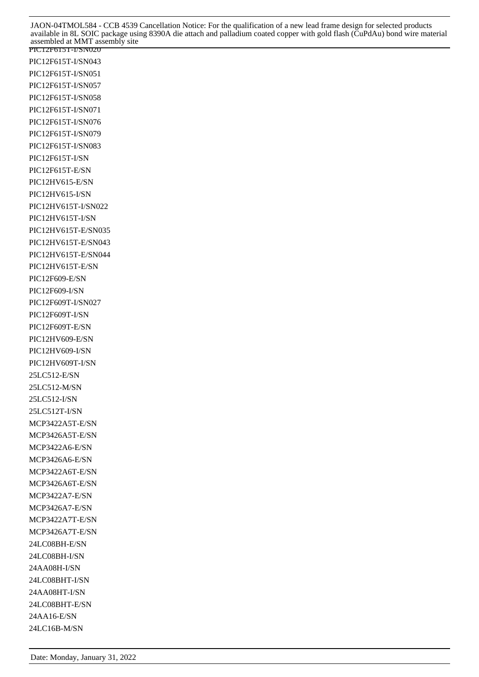PIC12F615T-I/SN020 PIC12F615T-I/SN043 PIC12F615T-I/SN051 PIC12F615T-I/SN057 PIC12F615T-I/SN058 PIC12F615T-I/SN071 PIC12F615T-I/SN076 PIC12F615T-I/SN079 PIC12F615T-I/SN083 PIC12F615T-I/SN PIC12F615T-E/SN PIC12HV615-E/SN PIC12HV615-I/SN PIC12HV615T-I/SN022 PIC12HV615T-I/SN PIC12HV615T-E/SN035 PIC12HV615T-E/SN043 PIC12HV615T-E/SN044 PIC12HV615T-E/SN PIC12F609-E/SN PIC12F609-I/SN PIC12F609T-I/SN027 PIC12F609T-I/SN PIC12F609T-E/SN PIC12HV609-E/SN PIC12HV609-I/SN PIC12HV609T-I/SN 25LC512-E/SN 25LC512-M/SN 25LC512-I/SN 25LC512T-I/SN MCP3422A5T-E/SN MCP3426A5T-E/SN MCP3422A6-E/SN MCP3426A6-E/SN MCP3422A6T-E/SN MCP3426A6T-E/SN MCP3422A7-E/SN MCP3426A7-E/SN MCP3422A7T-E/SN MCP3426A7T-E/SN 24LC08BH-E/SN 24LC08BH-I/SN 24AA08H-I/SN 24LC08BHT-I/SN 24AA08HT-I/SN 24LC08BHT-E/SN 24AA16-E/SN 24LC16B-M/SN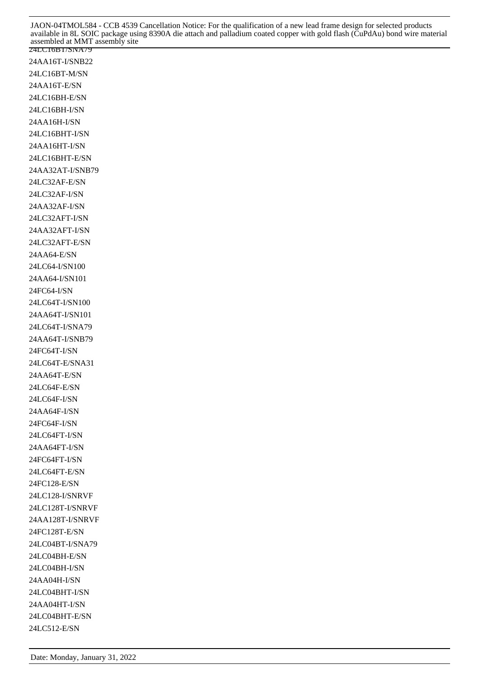24AA16T-I/SNB22 24LC16BT-M/SN 24AA16T-E/SN 24LC16BH-E/SN 24LC16BH-I/SN 24AA16H-I/SN 24LC16BHT-I/SN 24AA16HT-I/SN 24LC16BHT-E/SN 24AA32AT-I/SNB79 24LC32AF-E/SN 24LC32AF-I/SN 24AA32AF-I/SN 24LC32AFT-I/SN 24AA32AFT-I/SN 24LC32AFT-E/SN 24AA64-E/SN 24LC64-I/SN100 24AA64-I/SN101 24FC64-I/SN 24LC64T-I/SN100 24AA64T-I/SN101 24LC64T-I/SNA79 24AA64T-I/SNB79 24FC64T-I/SN 24LC64T-E/SNA31 24AA64T-E/SN 24LC64F-E/SN 24LC64F-I/SN 24AA64F-I/SN 24FC64F-I/SN 24LC64FT-I/SN 24AA64FT-I/SN 24FC64FT-I/SN 24LC64FT-E/SN 24FC128-E/SN 24LC128-I/SNRVF 24LC128T-I/SNRVF 24AA128T-I/SNRVF 24FC128T-E/SN 24LC04BT-I/SNA79 24LC04BH-E/SN 24LC04BH-I/SN 24AA04H-I/SN 24LC04BHT-I/SN 24AA04HT-I/SN 24LC04BHT-E/SN 24LC512-E/SN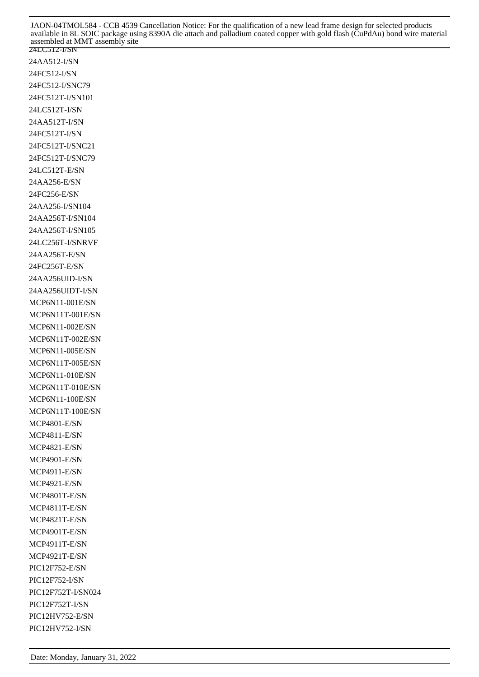24LC512-I/SN 24AA512-I/SN 24FC512-I/SN 24FC512-I/SNC79 24FC512T-I/SN101 24LC512T-I/SN 24AA512T-I/SN 24FC512T-I/SN 24FC512T-I/SNC21 24FC512T-I/SNC79 24LC512T-E/SN 24AA256-E/SN 24FC256-E/SN 24AA256-I/SN104 24AA256T-I/SN104 24AA256T-I/SN105 24LC256T-I/SNRVF 24AA256T-E/SN 24FC256T-E/SN 24AA256UID-I/SN 24AA256UIDT-I/SN MCP6N11-001E/SN MCP6N11T-001E/SN MCP6N11-002E/SN MCP6N11T-002E/SN MCP6N11-005E/SN MCP6N11T-005E/SN MCP6N11-010E/SN MCP6N11T-010E/SN MCP6N11-100E/SN MCP6N11T-100E/SN MCP4801-E/SN MCP4811-E/SN MCP4821-E/SN MCP4901-E/SN MCP4911-E/SN MCP4921-E/SN MCP4801T-E/SN MCP4811T-E/SN MCP4821T-E/SN MCP4901T-E/SN MCP4911T-E/SN MCP4921T-E/SN PIC12F752-E/SN PIC12F752-I/SN PIC12F752T-I/SN024 PIC12F752T-I/SN PIC12HV752-E/SN PIC12HV752-I/SN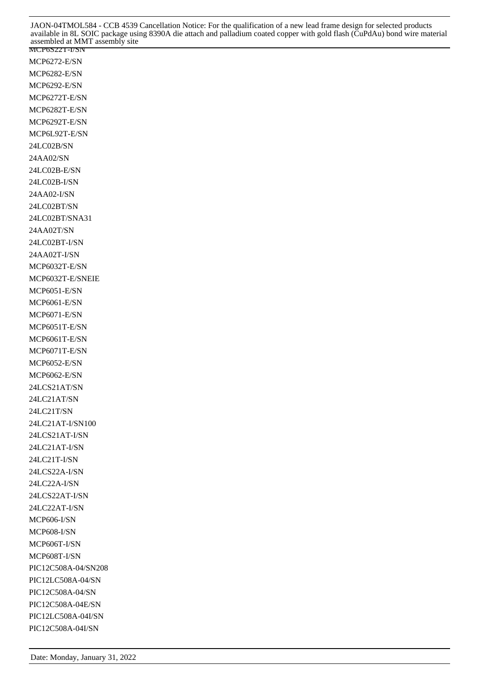MCP6272-E/SN MCP6282-E/SN MCP6292-E/SN MCP6272T-E/SN MCP6282T-E/SN MCP6292T-E/SN MCP6L92T-E/SN 24LC02B/SN 24AA02/SN 24LC02B-E/SN 24LC02B-I/SN 24AA02-I/SN 24LC02BT/SN 24LC02BT/SNA31 24AA02T/SN 24LC02BT-I/SN 24AA02T-I/SN MCP6032T-E/SN MCP6032T-E/SNEIE MCP6051-E/SN MCP6061-E/SN MCP6071-E/SN MCP6051T-E/SN MCP6061T-E/SN MCP6071T-E/SN MCP6052-E/SN MCP6062-E/SN 24LCS21AT/SN 24LC21AT/SN 24LC21T/SN 24LC21AT-I/SN100 24LCS21AT-I/SN 24LC21AT-I/SN 24LC21T-I/SN 24LCS22A-I/SN 24LC22A-I/SN 24LCS22AT-I/SN 24LC22AT-I/SN MCP606-I/SN MCP608-I/SN MCP606T-I/SN MCP608T-I/SN PIC12C508A-04/SN208 PIC12LC508A-04/SN PIC12C508A-04/SN PIC12C508A-04E/SN PIC12LC508A-04I/SN PIC12C508A-04I/SN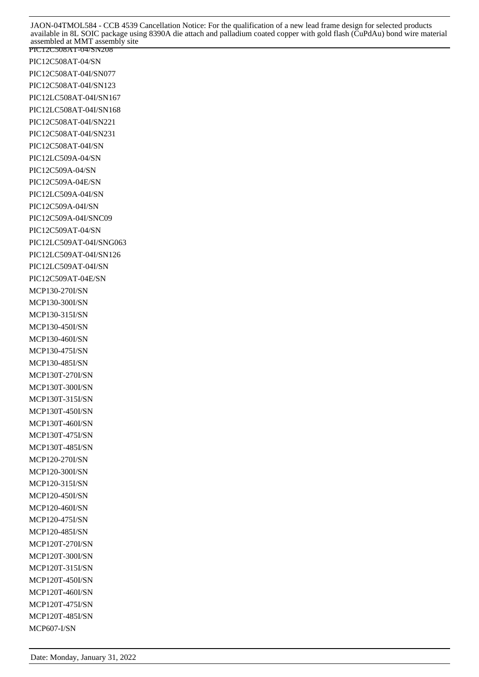PIC12C508AT-04/SN208 PIC12C508AT-04/SN PIC12C508AT-04I/SN077 PIC12C508AT-04I/SN123 PIC12LC508AT-04I/SN167 PIC12LC508AT-04I/SN168 PIC12C508AT-04I/SN221 PIC12C508AT-04I/SN231 PIC12C508AT-04I/SN PIC12LC509A-04/SN PIC12C509A-04/SN PIC12C509A-04E/SN PIC12LC509A-04I/SN PIC12C509A-04I/SN PIC12C509A-04I/SNC09 PIC12C509AT-04/SN PIC12LC509AT-04I/SNG063 PIC12LC509AT-04I/SN126 PIC12LC509AT-04I/SN PIC12C509AT-04E/SN MCP130-270I/SN MCP130-300I/SN MCP130-315I/SN MCP130-450I/SN MCP130-460I/SN MCP130-475I/SN MCP130-485I/SN MCP130T-270I/SN MCP130T-300I/SN MCP130T-315I/SN MCP130T-450I/SN MCP130T-460I/SN MCP130T-475I/SN MCP130T-485I/SN MCP120-270I/SN MCP120-300I/SN MCP120-315I/SN MCP120-450I/SN MCP120-460I/SN MCP120-475I/SN MCP120-485I/SN MCP120T-270I/SN MCP120T-300I/SN MCP120T-315I/SN MCP120T-450I/SN MCP120T-460I/SN MCP120T-475I/SN MCP120T-485I/SN MCP607-I/SN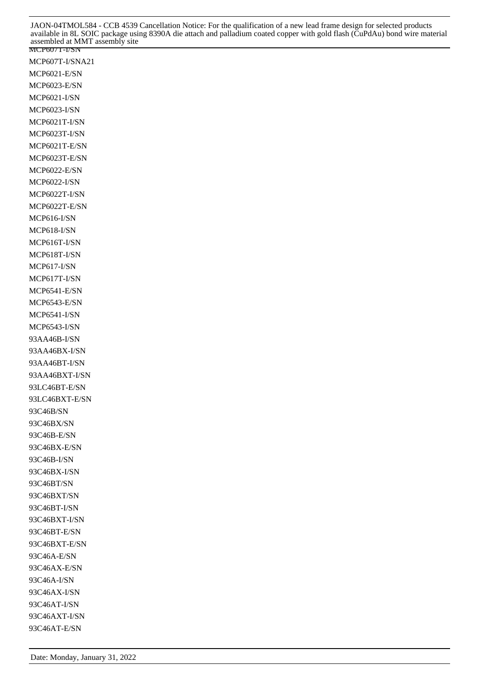MCP607T-I/SNA21 MCP6021-E/SN MCP6023-E/SN MCP6021-I/SN MCP6023-I/SN MCP6021T-I/SN MCP6023T-I/SN MCP6021T-E/SN MCP6023T-E/SN MCP6022-E/SN MCP6022-I/SN MCP6022T-I/SN MCP6022T-E/SN MCP616-I/SN MCP618-I/SN MCP616T-I/SN MCP618T-I/SN MCP617-I/SN MCP617T-I/SN MCP6541-E/SN MCP6543-E/SN MCP6541-I/SN MCP6543-I/SN 93AA46B-I/SN 93AA46BX-I/SN 93AA46BT-I/SN 93AA46BXT-I/SN 93LC46BT-E/SN 93LC46BXT-E/SN 93C46B/SN 93C46BX/SN 93C46B-E/SN 93C46BX-E/SN 93C46B-I/SN 93C46BX-I/SN 93C46BT/SN 93C46BXT/SN 93C46BT-I/SN 93C46BXT-I/SN 93C46BT-E/SN 93C46BXT-E/SN 93C46A-E/SN 93C46AX-E/SN 93C46A-I/SN 93C46AX-I/SN 93C46AT-I/SN 93C46AXT-I/SN

Date: Monday, January 31, 2022

93C46AT-E/SN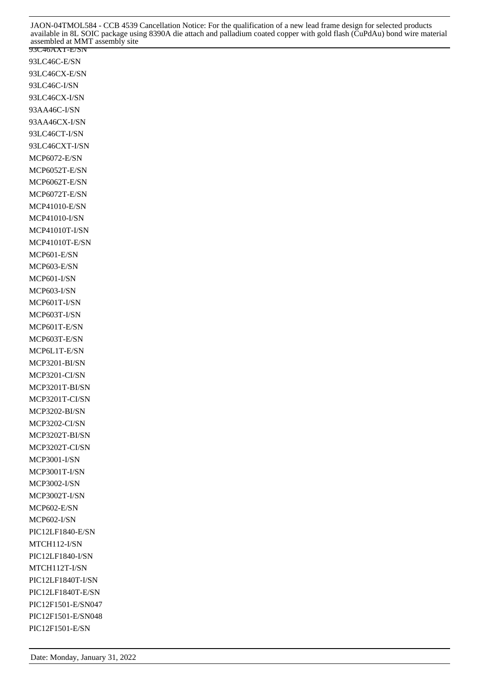93LC46C-E/SN 93LC46CX-E/SN 93LC46C-I/SN 93LC46CX-I/SN 93AA46C-I/SN 93AA46CX-I/SN 93LC46CT-I/SN 93LC46CXT-I/SN MCP6072-E/SN MCP6052T-E/SN MCP6062T-E/SN MCP6072T-E/SN MCP41010-E/SN MCP41010-I/SN MCP41010T-I/SN MCP41010T-E/SN MCP601-E/SN MCP603-E/SN MCP601-I/SN MCP603-I/SN MCP601T-I/SN MCP603T-I/SN MCP601T-E/SN MCP603T-E/SN MCP6L1T-E/SN MCP3201-BI/SN MCP3201-CI/SN MCP3201T-BI/SN MCP3201T-CI/SN MCP3202-BI/SN MCP3202-CI/SN MCP3202T-BI/SN MCP3202T-CI/SN MCP3001-I/SN MCP3001T-I/SN MCP3002-I/SN MCP3002T-I/SN MCP602-E/SN MCP602-I/SN PIC12LF1840-E/SN MTCH112-I/SN PIC12LF1840-I/SN MTCH112T-I/SN PIC12LF1840T-I/SN PIC12LF1840T-E/SN PIC12F1501-E/SN047 PIC12F1501-E/SN048 PIC12F1501-E/SN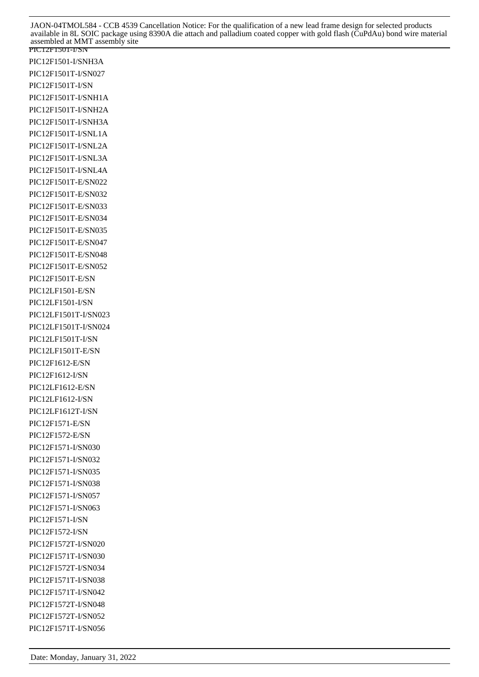PIC12F1501-I/SN PIC12F1501-I/SNH3A PIC12F1501T-I/SN027 PIC12F1501T-I/SN PIC12F1501T-I/SNH1A PIC12F1501T-I/SNH2A PIC12F1501T-I/SNH3A PIC12F1501T-I/SNL1A PIC12F1501T-I/SNL2A PIC12F1501T-I/SNL3A PIC12F1501T-I/SNL4A PIC12F1501T-E/SN022 PIC12F1501T-E/SN032 PIC12F1501T-E/SN033 PIC12F1501T-E/SN034 PIC12F1501T-E/SN035 PIC12F1501T-E/SN047 PIC12F1501T-E/SN048 PIC12F1501T-E/SN052 PIC12F1501T-E/SN PIC12LF1501-E/SN PIC12LF1501-I/SN PIC12LF1501T-I/SN023 PIC12LF1501T-I/SN024 PIC12LF1501T-I/SN PIC12LF1501T-E/SN PIC12F1612-E/SN PIC12F1612-I/SN PIC12LF1612-E/SN PIC12LF1612-I/SN PIC12LF1612T-I/SN PIC12F1571-E/SN PIC12F1572-E/SN PIC12F1571-I/SN030 PIC12F1571-I/SN032 PIC12F1571-I/SN035 PIC12F1571-I/SN038 PIC12F1571-I/SN057 PIC12F1571-I/SN063 PIC12F1571-I/SN PIC12F1572-I/SN PIC12F1572T-I/SN020 PIC12F1571T-I/SN030 PIC12F1572T-I/SN034 PIC12F1571T-I/SN038 PIC12F1571T-I/SN042 PIC12F1572T-I/SN048 PIC12F1572T-I/SN052 PIC12F1571T-I/SN056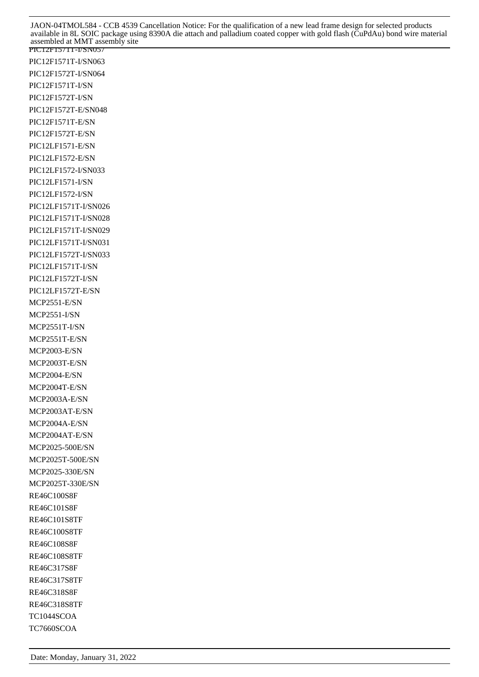PIC12F1571T-I/SN057 PIC12F1571T-I/SN063 PIC12F1572T-I/SN064 PIC12F1571T-I/SN PIC12F1572T-I/SN PIC12F1572T-E/SN048 PIC12F1571T-E/SN PIC12F1572T-E/SN PIC12LF1571-E/SN PIC12LF1572-E/SN PIC12LF1572-I/SN033 PIC12LF1571-I/SN PIC12LF1572-I/SN PIC12LF1571T-I/SN026 PIC12LF1571T-I/SN028 PIC12LF1571T-I/SN029 PIC12LF1571T-I/SN031 PIC12LF1572T-I/SN033 PIC12LF1571T-I/SN PIC12LF1572T-I/SN PIC12LF1572T-E/SN MCP2551-E/SN MCP2551-I/SN MCP2551T-I/SN MCP2551T-E/SN MCP2003-E/SN MCP2003T-E/SN MCP2004-E/SN MCP2004T-E/SN MCP2003A-E/SN MCP2003AT-E/SN MCP2004A-E/SN MCP2004AT-E/SN MCP2025-500E/SN MCP2025T-500E/SN MCP2025-330E/SN MCP2025T-330E/SN RE46C100S8F RE46C101S8F RE46C101S8TF RE46C100S8TF RE46C108S8F RE46C108S8TF RE46C317S8F RE46C317S8TF RE46C318S8F RE46C318S8TF TC1044SCOA TC7660SCOA